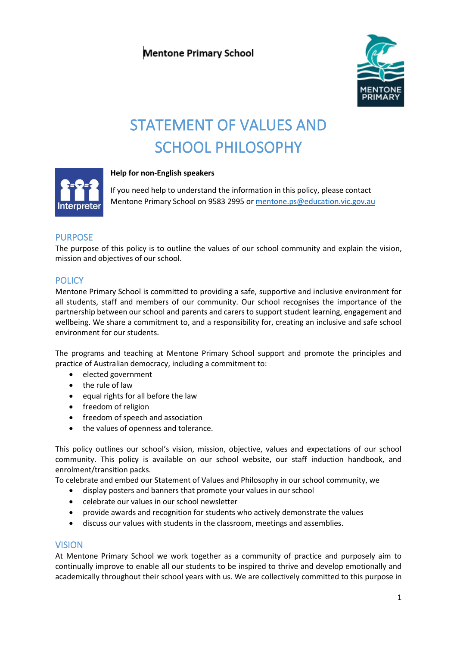

# STATEMENT OF VALUES AND SCHOOL PHILOSOPHY



## **Help for non-English speakers**

If you need help to understand the information in this policy, please contact Mentone Primary School on 9583 2995 or [mentone.ps@education.vic.gov.au](mailto:mentone.ps@education.vic.gov.au)

# PURPOSE

The purpose of this policy is to outline the values of our school community and explain the vision, mission and objectives of our school.

# **POLICY**

Mentone Primary School is committed to providing a safe, supportive and inclusive environment for all students, staff and members of our community. Our school recognises the importance of the partnership between our school and parents and carers to support student learning, engagement and wellbeing. We share a commitment to, and a responsibility for, creating an inclusive and safe school environment for our students.

The programs and teaching at Mentone Primary School support and promote the principles and practice of Australian democracy, including a commitment to:

- elected government
- the rule of law
- equal rights for all before the law
- freedom of religion
- freedom of speech and association
- the values of openness and tolerance.

This policy outlines our school's vision, mission, objective, values and expectations of our school community. This policy is available on our school website, our staff induction handbook, and enrolment/transition packs.

To celebrate and embed our Statement of Values and Philosophy in our school community, we

- display posters and banners that promote your values in our school
- celebrate our values in our school newsletter
- provide awards and recognition for students who actively demonstrate the values
- discuss our values with students in the classroom, meetings and assemblies.

## VISION

At Mentone Primary School we work together as a community of practice and purposely aim to continually improve to enable all our students to be inspired to thrive and develop emotionally and academically throughout their school years with us. We are collectively committed to this purpose in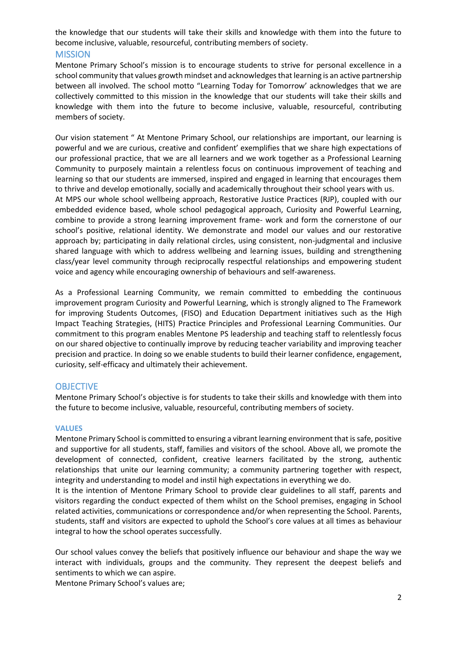the knowledge that our students will take their skills and knowledge with them into the future to become inclusive, valuable, resourceful, contributing members of society.

## **MISSION**

Mentone Primary School's mission is to encourage students to strive for personal excellence in a school community that values growth mindset and acknowledges that learning is an active partnership between all involved. The school motto "Learning Today for Tomorrow' acknowledges that we are collectively committed to this mission in the knowledge that our students will take their skills and knowledge with them into the future to become inclusive, valuable, resourceful, contributing members of society.

Our vision statement " At Mentone Primary School, our relationships are important, our learning is powerful and we are curious, creative and confident' exemplifies that we share high expectations of our professional practice, that we are all learners and we work together as a Professional Learning Community to purposely maintain a relentless focus on continuous improvement of teaching and learning so that our students are immersed, inspired and engaged in learning that encourages them to thrive and develop emotionally, socially and academically throughout their school years with us. At MPS our whole school wellbeing approach, Restorative Justice Practices (RJP), coupled with our embedded evidence based, whole school pedagogical approach, Curiosity and Powerful Learning, combine to provide a strong learning improvement frame- work and form the cornerstone of our school's positive, relational identity. We demonstrate and model our values and our restorative approach by; participating in daily relational circles, using consistent, non-judgmental and inclusive shared language with which to address wellbeing and learning issues, building and strengthening class/year level community through reciprocally respectful relationships and empowering student voice and agency while encouraging ownership of behaviours and self-awareness.

As a Professional Learning Community, we remain committed to embedding the continuous improvement program Curiosity and Powerful Learning, which is strongly aligned to The Framework for improving Students Outcomes, (FISO) and Education Department initiatives such as the High Impact Teaching Strategies, (HITS) Practice Principles and Professional Learning Communities. Our commitment to this program enables Mentone PS leadership and teaching staff to relentlessly focus on our shared objective to continually improve by reducing teacher variability and improving teacher precision and practice. In doing so we enable students to build their learner confidence, engagement, curiosity, self-efficacy and ultimately their achievement.

# **OBJECTIVE**

Mentone Primary School's objective is for students to take their skills and knowledge with them into the future to become inclusive, valuable, resourceful, contributing members of society.

#### **VALUES**

Mentone Primary School is committed to ensuring a vibrant learning environment that is safe, positive and supportive for all students, staff, families and visitors of the school. Above all, we promote the development of connected, confident, creative learners facilitated by the strong, authentic relationships that unite our learning community; a community partnering together with respect, integrity and understanding to model and instil high expectations in everything we do.

It is the intention of Mentone Primary School to provide clear guidelines to all staff, parents and visitors regarding the conduct expected of them whilst on the School premises, engaging in School related activities, communications or correspondence and/or when representing the School. Parents, students, staff and visitors are expected to uphold the School's core values at all times as behaviour integral to how the school operates successfully.

Our school values convey the beliefs that positively influence our behaviour and shape the way we interact with individuals, groups and the community. They represent the deepest beliefs and sentiments to which we can aspire.

Mentone Primary School's values are;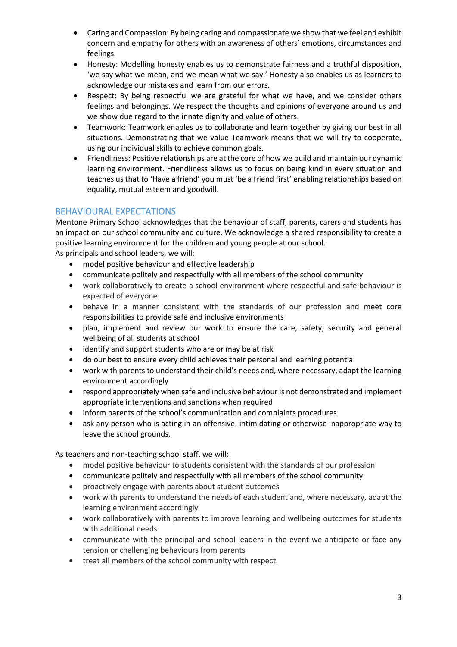- Caring and Compassion: By being caring and compassionate we show that we feel and exhibit concern and empathy for others with an awareness of others' emotions, circumstances and feelings.
- Honesty: Modelling honesty enables us to demonstrate fairness and a truthful disposition, 'we say what we mean, and we mean what we say.' Honesty also enables us as learners to acknowledge our mistakes and learn from our errors.
- Respect: By being respectful we are grateful for what we have, and we consider others feelings and belongings. We respect the thoughts and opinions of everyone around us and we show due regard to the innate dignity and value of others.
- Teamwork: Teamwork enables us to collaborate and learn together by giving our best in all situations. Demonstrating that we value Teamwork means that we will try to cooperate, using our individual skills to achieve common goals.
- Friendliness: Positive relationships are at the core of how we build and maintain our dynamic learning environment. Friendliness allows us to focus on being kind in every situation and teaches us that to 'Have a friend' you must 'be a friend first' enabling relationships based on equality, mutual esteem and goodwill.

# BEHAVIOURAL EXPECTATIONS

Mentone Primary School acknowledges that the behaviour of staff, parents, carers and students has an impact on our school community and culture. We acknowledge a shared responsibility to create a positive learning environment for the children and young people at our school.

As principals and school leaders, we will:

- model positive behaviour and effective leadership
- communicate politely and respectfully with all members of the school community
- work collaboratively to create a school environment where respectful and safe behaviour is expected of everyone
- behave in a manner consistent with the standards of our profession and meet core responsibilities to provide safe and inclusive environments
- plan, implement and review our work to ensure the care, safety, security and general wellbeing of all students at school
- identify and support students who are or may be at risk
- do our best to ensure every child achieves their personal and learning potential
- work with parents to understand their child's needs and, where necessary, adapt the learning environment accordingly
- respond appropriately when safe and inclusive behaviour is not demonstrated and implement appropriate interventions and sanctions when required
- inform parents of the school's communication and complaints procedures
- ask any person who is acting in an offensive, intimidating or otherwise inappropriate way to leave the school grounds.

As teachers and non-teaching school staff, we will:

- model positive behaviour to students consistent with the standards of our profession
- communicate politely and respectfully with all members of the school community
- proactively engage with parents about student outcomes
- work with parents to understand the needs of each student and, where necessary, adapt the learning environment accordingly
- work collaboratively with parents to improve learning and wellbeing outcomes for students with additional needs
- communicate with the principal and school leaders in the event we anticipate or face any tension or challenging behaviours from parents
- treat all members of the school community with respect.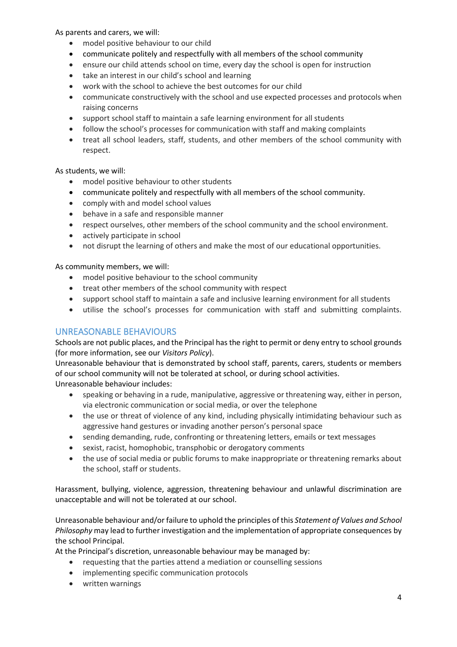As parents and carers, we will:

- model positive behaviour to our child
- communicate politely and respectfully with all members of the school community
- ensure our child attends school on time, every day the school is open for instruction
- take an interest in our child's school and learning
- work with the school to achieve the best outcomes for our child
- communicate constructively with the school and use expected processes and protocols when raising concerns
- support school staff to maintain a safe learning environment for all students
- follow the school's processes for communication with staff and making complaints
- treat all school leaders, staff, students, and other members of the school community with respect.

As students, we will:

- model positive behaviour to other students
- communicate politely and respectfully with all members of the school community.
- comply with and model school values
- behave in a safe and responsible manner
- respect ourselves, other members of the school community and the school environment.
- actively participate in school
- not disrupt the learning of others and make the most of our educational opportunities.

As community members, we will:

- model positive behaviour to the school community
- treat other members of the school community with respect
- support school staff to maintain a safe and inclusive learning environment for all students
- utilise the school's processes for communication with staff and submitting complaints.

# UNREASONABLE BEHAVIOURS

Schools are not public places, and the Principal has the right to permit or deny entry to school grounds (for more information, see our *Visitors Policy*).

Unreasonable behaviour that is demonstrated by school staff, parents, carers, students or members of our school community will not be tolerated at school, or during school activities. Unreasonable behaviour includes:

- speaking or behaving in a rude, manipulative, aggressive or threatening way, either in person, via electronic communication or social media, or over the telephone
- the use or threat of violence of any kind, including physically intimidating behaviour such as aggressive hand gestures or invading another person's personal space
- sending demanding, rude, confronting or threatening letters, emails or text messages
- sexist, racist, homophobic, transphobic or derogatory comments
- the use of social media or public forums to make inappropriate or threatening remarks about the school, staff or students.

Harassment, bullying, violence, aggression, threatening behaviour and unlawful discrimination are unacceptable and will not be tolerated at our school.

Unreasonable behaviour and/or failure to uphold the principles of this *Statement of Values and School Philosophy* may lead to further investigation and the implementation of appropriate consequences by the school Principal.

At the Principal's discretion, unreasonable behaviour may be managed by:

- requesting that the parties attend a mediation or counselling sessions
- implementing specific communication protocols
- written warnings